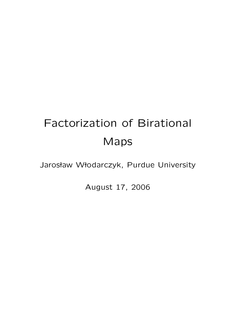# Factorization of Birational Maps

Jarosław Włodarczyk, Purdue University

August 17, 2006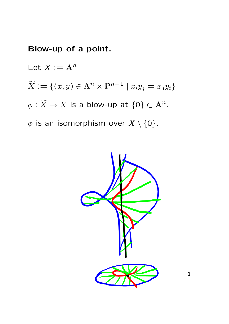#### Blow-up of a point.

Let  $X := A^n$  $\widetilde{X} := \{(x, y) \in A^n \times P^{n-1} \mid x_i y_j = x_j y_i\}$  $\phi : \widetilde{X} \to X$  is a blow-up at  $\{0\} \subset \mathbf{A}^n$ .

 $\phi$  is an isomorphism over  $X \setminus \{0\}$ .

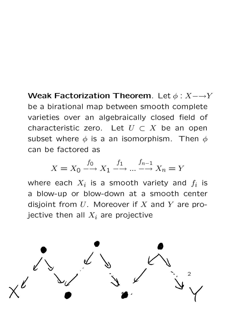Weak Factorization Theorem. Let  $\phi : X \rightarrow Y$ be a birational map between smooth complete varieties over an algebraically closed field of characteristic zero. Let  $U \subset X$  be an open subset where  $\phi$  is a an isomorphism. Then  $\phi$ can be factored as

$$
X = X_0 \xrightarrow{f_0} X_1 \xrightarrow{f_1} \dots \xrightarrow{f_{n-1}} X_n = Y
$$

where each  $X_i$  is a smooth variety and  $f_i$  is a blow-up or blow-down at a smooth center disjoint from  $U$ . Moreover if  $X$  and  $Y$  are projective then all  $X_i$  are projective

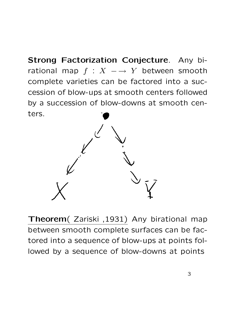Strong Factorization Conjecture. Any birational map  $f : X \longrightarrow Y$  between smooth complete varieties can be factored into a succession of blow-ups at smooth centers followed by a succession of blow-downs at smooth centers.



Theorem( Zariski ,1931) Any birational map between smooth complete surfaces can be factored into a sequence of blow-ups at points followed by a sequence of blow-downs at points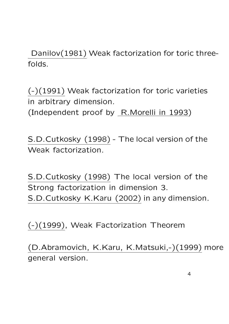Danilov(1981) Weak factorization for toric threefolds.

(-)(1991) Weak factorization for toric varieties in arbitrary dimension.

(Independent proof by R.Morelli in 1993)

S.D.Cutkosky (1998) - The local version of the Weak factorization.

S.D.Cutkosky (1998) The local version of the Strong factorization in dimension 3. S.D.Cutkosky K.Karu (2002) in any dimension.

(-)(1999), Weak Factorization Theorem

(D.Abramovich, K.Karu, K.Matsuki,-)(1999) more general version.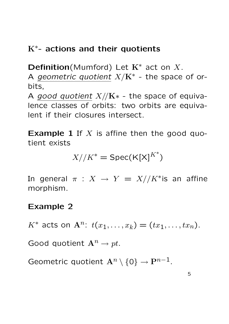## K<sup>∗</sup> - actions and their quotients

**Definition**(Mumford) Let  $K^*$  act on X.

A geometric quotient  $X/K^*$  - the space of orbits,

A good quotient  $X//K*$  - the space of equivalence classes of orbits: two orbits are equivalent if their closures intersect.

**Example 1** If  $X$  is affine then the good quotient exists

$$
X//K^* = \text{Spec}(K[X]^{K^*})
$$

In general  $\pi$  :  $X \rightarrow Y = X//K^*$ is an affine morphism.

#### Example 2

 $K^*$  acts on  $A^n$ :  $t(x_1, ..., x_k) = (tx_1, ..., tx_n)$ .

Good quotient  $A^n \rightarrow pt$ .

Geometric quotient  $A^n \setminus \{0\} \rightarrow P^{n-1}$ .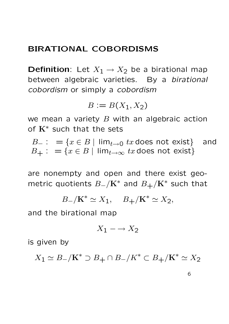#### BIRATIONAL COBORDISMS

**Definition:** Let  $X_1 \rightarrow X_2$  be a birational map between algebraic varieties. By a birational cobordism or simply a cobordism

$$
B := B(X_1, X_2)
$$

we mean a variety  $B$  with an algebraic action of K<sup>∗</sup> such that the sets

 $B_$  : = { $x \in B \mid \lim_{t \to 0} tx$  does not exist} and  $B_+$ : = { $x \in B \mid \lim_{t \to \infty} tx$  does not exist}

are nonempty and open and there exist geometric quotients  $B_{-}/K^*$  and  $B_{+}/K^*$  such that

$$
B_{-}/\mathbf{K}^* \simeq X_1, \quad B_{+}/\mathbf{K}^* \simeq X_2,
$$

and the birational map

$$
X_1 \longrightarrow X_2
$$

is given by

$$
X_1 \simeq B_-/\mathbf{K}^* \supset B_+ \cap B_-/K^* \subset B_+/ \mathbf{K}^* \simeq X_2
$$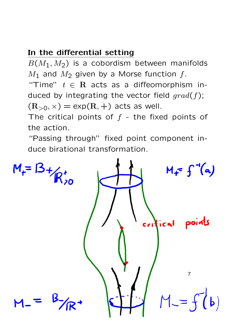## In the differential setting

 $B(M_1, M_2)$  is a cobordism between manifolds  $M_1$  and  $M_2$  given by a Morse function f. "Time"  $t \in \mathbf{R}$  acts as a diffeomorphism induced by integrating the vector field  $grad(f)$ ;  $(R_{>0}, \times) = \exp(R, +)$  acts as well. The critical points of  $f$  - the fixed points of

the action.

"Passing through" fixed point component induce birational transformation.

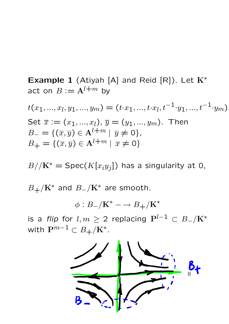Example 1 (Atiyah [A] and Reid  $[R]$ ). Let  $K^*$ act on  $B := A^{l+m}$  by

 $t(x_1, ..., x_l, y_1, ..., y_m) = (t \cdot x_1, ..., t \cdot x_l, t^{-1} \cdot y_1, ..., t^{-1} \cdot y_m).$ Set  $\overline{x} := (x_1, ..., x_l), \overline{y} = (y_1, ..., y_m)$ . Then  $B_-=\{(\overline{x},\overline{y})\in A^{l+m} \mid \overline{y}\neq 0\},\,$  $B_+ = \{(\overline{x}, \overline{y}) \in \mathbf{A}^{l+m} \mid \overline{x} \neq 0\}$ 

 $B//**K*** = Spec(K[x_i y_j])$  has a singularity at 0,

 $B_{+}/K^*$  and  $B_{-}/K^*$  are smooth.

$$
\phi: B_-/{\bf K}^* \longrightarrow B_+/{\bf K}^*
$$

is a flip for  $l, m \geq 2$  replacing  $\mathbf{P}^{l-1} \subset B_-/\mathbf{K}^*$ with  $\mathbf{P}^{m-1} \subset B_+/ \mathbf{K}^*.$ 

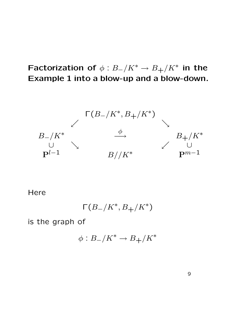Factorization of  $\phi : B_-/K^* \to B_+/K^*$  in the Example 1 into a blow-up and a blow-down.



**Here** 

$$
\Gamma(B_-/K^*,B_+/K^*)
$$

is the graph of

$$
\phi: B_-/K^* \to B_+/K^*
$$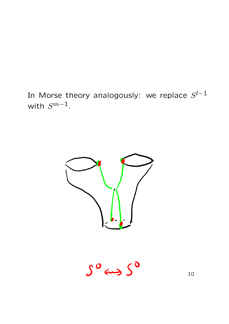In Morse theory analogously: we replace  $S^{l-1}$ with  $S^{m-1}$ .

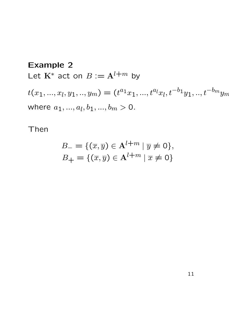## Example 2 Let  $\mathbf{K}^*$  act on  $B := \mathbf{A}^{l+m}$  by  $t(x_1,...,x_l,y_1,..,y_m) = (t^{a_1}x_1,...,t^{a_l}x_l,t^{-b_1}y_1,..,t^{-b_m}y_m)$ where  $a_1, ..., a_l, b_1, ..., b_m > 0$ .

Then

$$
B_{-} = \{ (\overline{x}, \overline{y}) \in \mathbf{A}^{l+m} \mid \overline{y} \neq 0 \},
$$
  

$$
B_{+} = \{ (\overline{x}, \overline{y}) \in \mathbf{A}^{l+m} \mid \overline{x} \neq 0 \}
$$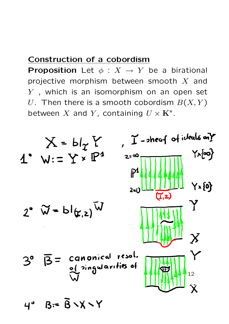#### Construction of a cobordism

**Proposition** Let  $\phi : X \rightarrow Y$  be a birational projective morphism between smooth  $X$  and  $Y$ , which is an isomorphism on an open set U. Then there is a smooth cobordism  $B(X, Y)$ between X and Y, containing  $U \times K^*$ .

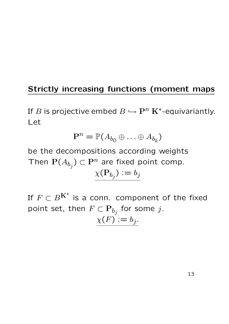## Strictly increasing functions (moment maps

If  $B$  is projective embed  $B\hookrightarrow \mathbf{P}^n$  K<sup>\*</sup>-equivariantly. Let

$$
\mathbf{P}^n = \mathbb{P}(A_{b_0} \oplus \ldots \oplus A_{b_k})
$$

be the decompositions according weights Then  $P(A_{b_j})\subset P^n$  are fixed point comp.  $\chi({\rm P}_{b_j}) := b_j$ 

If  $F\subset B^{{\bf K}^*}$  is a conn. component of the fixed point set, then  $F\subset \mathbf P_{b_j}$  for some  $j.$ 

$$
\chi(F) := b_j.
$$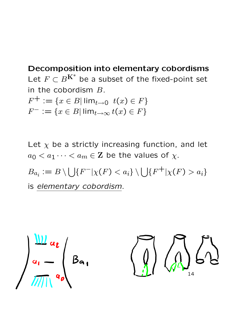Decomposition into elementary cobordisms Let  $F \subset B^{K^*}$  be a subset of the fixed-point set in the cobordism  $B$ .  $F^+ := \{x \in B | \lim_{t \to 0} t(x) \in F\}$ 

 $F^- := \{x \in B | \lim_{t \to \infty} t(x) \in F\}$ 

Let  $\chi$  be a strictly increasing function, and let  $a_0 < a_1 \cdots < a_m \in \mathbb{Z}$  be the values of  $\chi$ .

 $B_{a_i} := B \setminus \bigcup \{F^-|\chi(F) < a_i\} \setminus \bigcup \{F^+|\chi(F) > a_i\}$ is elementary cobordism.

$$
\int_{\frac{a_1}{\sqrt{100}}}\frac{u_2}{a_1} \int_{\frac{a_2}{\sqrt{100}}} \frac{1}{\sqrt{100}} \int_{0}^{\frac{a_1}{\sqrt{100}}} \frac{1}{\sqrt{100}} \int_{0}^{\frac{a_2}{\sqrt{100}}}\frac{1}{\sqrt{100}} \int_{0}^{\frac{a_1}{\sqrt{100}}}\frac{1}{\sqrt{100}} \int_{0}^{\frac{a_2}{\sqrt{100}}}\frac{1}{\sqrt{100}} \int_{0}^{\frac{a_1}{\sqrt{100}}}\frac{1}{\sqrt{100}} \int_{0}^{\frac{a_2}{\sqrt{100}}}\frac{1}{\sqrt{100}} \int_{0}^{\frac{a_1}{\sqrt{100}}}\frac{1}{\sqrt{100}} \int_{0}^{\frac{a_1}{\sqrt{100}}}\frac{1}{\sqrt{100}} \int_{0}^{\frac{a_1}{\sqrt{100}}}\frac{1}{\sqrt{100}} \int_{0}^{\frac{a_1}{\sqrt{100}}}\frac{1}{\sqrt{100}} \int_{0}^{\frac{a_1}{\sqrt{100}}}\frac{1}{\sqrt{100}} \int_{0}^{\frac{a_1}{\sqrt{100}}}\frac{1}{\sqrt{100}} \int_{0}^{\frac{a_1}{\sqrt{100}}}\frac{1}{\sqrt{100}} \int_{0}^{\frac{a_1}{\sqrt{100}}}\frac{1}{\sqrt{100}} \int_{0}^{\frac{a_1}{\sqrt{100}}}\frac{1}{\sqrt{100}} \int_{0}^{\frac{a_1}{\sqrt{100}}}\frac{1}{\sqrt{100}} \int_{0}^{\frac{a_1}{\sqrt{100}}}\frac{1}{\sqrt{100}} \int_{0}^{\frac{a_1}{\sqrt{100}}}\frac{1}{\sqrt{100}} \int_{0}^{\frac{a_1}{\sqrt{100}}}\frac{1}{\sqrt{100}} \int_{0}^{\frac{a_1}{\sqrt{100}}}\frac{1}{\sqrt{100}} \int_{0}^{\frac{a_1}{\sqrt{100}}} \frac{1}{\sqrt{100}} \int_{0}^{\frac{a_1}{\sqrt{100}}} \frac{1}{\sqrt{100
$$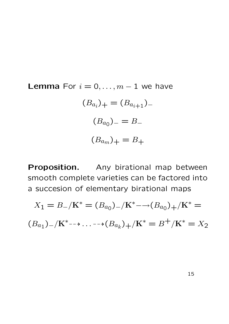**Lemma** For  $i = 0, \ldots, m - 1$  we have

$$
(B_{a_i})_{+} = (B_{a_{i+1}})_{-}
$$

$$
(B_{a_0})_{-} = B_{-}
$$

$$
(B_{a_m})_{+} = B_{+}
$$

Proposition. Any birational map between smooth complete varieties can be factored into a succesion of elementary birational maps

$$
X_1 = B_- / \mathbf{K}^* = (B_{a_0})_- / \mathbf{K}^* - (B_{a_0})_+ / \mathbf{K}^* =
$$

 $(B_{a_1})_-/K^* \to \ldots \to (B_{a_k})_+/K^* = B^+/K^* = X_2$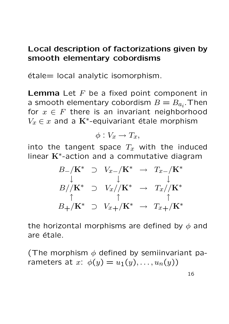### Local description of factorizations given by smooth elementary cobordisms

 $étele= local analytic isomorphism.$ 

**Lemma** Let  $F$  be a fixed point component in a smooth elementary cobordism  $B=B_{a_i}$ . Then for  $x \in F$  there is an invariant neighborhood  $V_x \in x$  and a K<sup>\*</sup>-equivariant étale morphism

 $\phi: V_x \to T_x$ ,

into the tangent space  $T_x$  with the induced linear K<sup>∗</sup> -action and a commutative diagram

$$
B_{-}/\mathbf{K}^{*} \supset V_{x-}/\mathbf{K}^{*} \rightarrow T_{x-}/\mathbf{K}^{*}
$$
  
\n
$$
B_{+}/\mathbf{K}^{*} \supset V_{x}/\mathbf{K}^{*} \rightarrow T_{x}/\mathbf{K}^{*}
$$
  
\n
$$
\uparrow
$$
  
\n
$$
B_{+}/\mathbf{K}^{*} \supset V_{x+}/\mathbf{K}^{*} \rightarrow T_{x+}/\mathbf{K}^{*}
$$

the horizontal morphisms are defined by  $\phi$  and are étale.

(The morphism  $\phi$  defined by semiinvariant parameters at  $x: \phi(y) = u_1(y), \ldots, u_n(y)$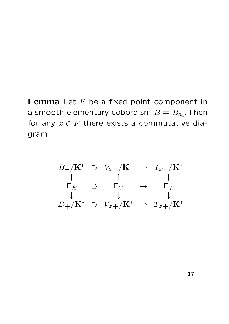**Lemma** Let  $F$  be a fixed point component in a smooth elementary cobordism  $B=B_{a_i}$ . Then for any  $x \in F$  there exists a commutative diagram

$$
B_{-}/\mathbf{K}^{*} \supset V_{x-}/\mathbf{K}^{*} \rightarrow T_{x-}/\mathbf{K}^{*}
$$
  
\n
$$
\uparrow \qquad \qquad \uparrow \qquad \qquad \uparrow
$$
  
\n
$$
\uparrow \qquad \qquad \uparrow \qquad \qquad \uparrow
$$
  
\n
$$
B_{+}/\mathbf{K}^{*} \supset V_{x+}/\mathbf{K}^{*} \rightarrow T_{x+}/\mathbf{K}^{*}
$$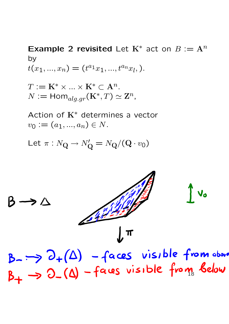Example 2 revisited Let  $K^*$  act on  $B := A^n$ by  $t(x_1, ..., x_n) = (t^{a_1}x_1, ..., t^{a_n}x_l).$  $T := \mathbf{K}^* \times \dots \times \mathbf{K}^* \subset \mathbf{A}^n$ .  $N := \text{Hom}_{alg.gr}(\mathbf{K}^*, T) \simeq \mathbf{Z}^n$ ,

Action of K<sup>∗</sup> determines a vector  $v_0 := (a_1, ..., a_n) \in N$ .

Let  $\pi : N_{\mathbf{Q}} \to N'_{\mathbf{Q}} = N_{\mathbf{Q}}/(\mathbf{Q} \cdot v_0)$ 

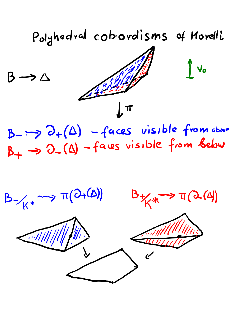

 $B - \rightarrow D_{+}(\Delta) - facs$  visible from above  $B_+$   $\Rightarrow$  0. (1) - faces visible from below

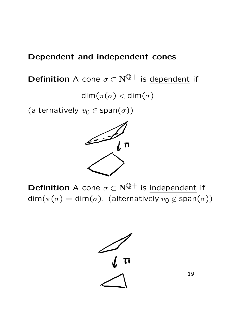#### Dependent and independent cones

**Definition** A cone  $\sigma \subset \mathbb{N}^{\mathbb{Q}+}$  is dependent if

dim $(\pi(\sigma) <$  dim $(\sigma)$ 

(alternatively  $v_0 \in \text{span}(\sigma)$ )



**Definition** A cone  $\sigma \subset \mathbb{N}^{\mathbb{Q}+}$  is independent if dim( $\pi(\sigma) = \dim(\sigma)$ . (alternatively  $v_0 \notin \text{span}(\sigma)$ )

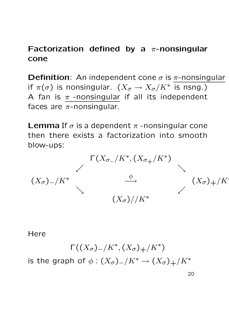## Factorization defined by a  $\pi$ -nonsingular cone

**Definition:** An independent cone  $\sigma$  is  $\pi$ -nonsingular if  $\pi(\sigma)$  is nonsingular.  $(X_{\sigma}\to X_{\sigma}/K^*$  is nsng.) A fan is  $\pi$  -nonsingular if all its independent faces are  $\pi$ -nonsingular.

**Lemma** If  $\sigma$  is a dependent  $\pi$  -nonsingular cone then there exists a factorization into smooth blow-ups:



**Here** 

$$
\Gamma((X_{\sigma})_{-}/K^{\ast},(X_{\sigma})_{+}/K^{\ast})
$$

is the graph of  $\phi$  :  $(X_{\sigma})$ <sub>-</sub>/K<sup>\*</sup> →  $(X_{\sigma})$ <sub>+</sub>/K<sup>\*</sup>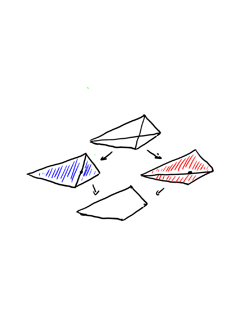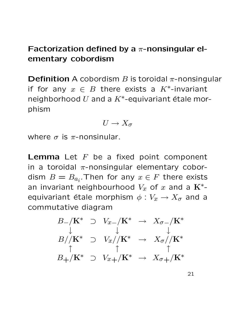## Factorization defined by a  $\pi$ -nonsingular elementary cobordism

**Definition** A cobordism B is toroidal  $\pi$ -nonsingular if for any  $x \in B$  there exists a  $K^*$ -invariant neighborhood U and a  $K^*$ -equivariant étale morphism

$$
U \to X_{\sigma}
$$

where  $\sigma$  is  $\pi$ -nonsinular.

**Lemma** Let  $F$  be a fixed point component in a toroidal  $\pi$ -nonsingular elementary cobordism  $B=B_{a_i}$ . Then for any  $x\in F$  there exists an invariant neighbourhood  $V_x$  of  $x$  and a  $\mathbf{K}^*$ equivariant étale morphism  $\phi : V_x \to X_{\sigma}$  and a commutative diagram

$$
B_{-}/\mathbf{K}^{*} \supset V_{x-}/\mathbf{K}^{*} \rightarrow X_{\sigma-}/\mathbf{K}^{*}
$$
  
\n
$$
B_{+}/\mathbf{K}^{*} \supset V_{x}/\mathbf{K}^{*} \rightarrow X_{\sigma}//\mathbf{K}^{*}
$$
  
\n
$$
\uparrow
$$
  
\n
$$
B_{+}/\mathbf{K}^{*} \supset V_{x+}/\mathbf{K}^{*} \rightarrow X_{\sigma+}/\mathbf{K}^{*}
$$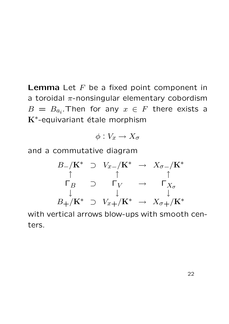**Lemma** Let  $F$  be a fixed point component in a toroidal  $\pi$ -nonsingular elementary cobordism  $B = B_{a_i}$ . Then for any  $x \in F$  there exists a  $K^*$ -equivariant étale morphism

$$
\phi: V_x \to X_\sigma
$$

and a commutative diagram



with vertical arrows blow-ups with smooth centers.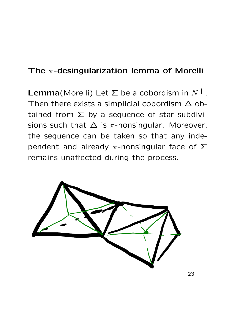## The  $\pi$ -desingularization lemma of Morelli

**Lemma**(Morelli) Let  $\Sigma$  be a cobordism in  $N^+$ . Then there exists a simplicial cobordism  $\Delta$  obtained from  $\Sigma$  by a sequence of star subdivisions such that  $\Delta$  is  $\pi$ -nonsingular. Moreover, the sequence can be taken so that any independent and already  $\pi$ -nonsingular face of  $\Sigma$ remains unaffected during the process.

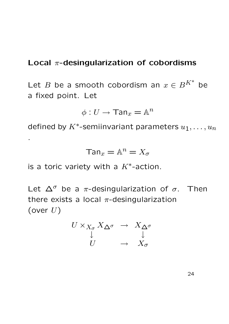#### Local  $\pi$ -desingularization of cobordisms

Let B be a smooth cobordism an  $x \in B^{K^*}$  be a fixed point. Let

$$
\phi: U \to \text{Tan}_x = \mathbb{A}^n
$$

defined by  $K^*$ -semiinvariant parameters  $u_1, \ldots, u_n$ 

$$
\text{Tan}_x = \mathbb{A}^n = X_\sigma
$$

is a toric variety with a  $K^*$ -action.

.

Let  $\Delta^{\sigma}$  be a  $\pi$ -desingularization of  $\sigma$ . Then there exists a local  $\pi$ -desingularization (over  $U$ )

$$
U \times_{X_{\sigma}} X_{\Delta^{\sigma}} \longrightarrow X_{\Delta^{\sigma}} \downarrow
$$
  

$$
U \longrightarrow X_{\sigma}
$$